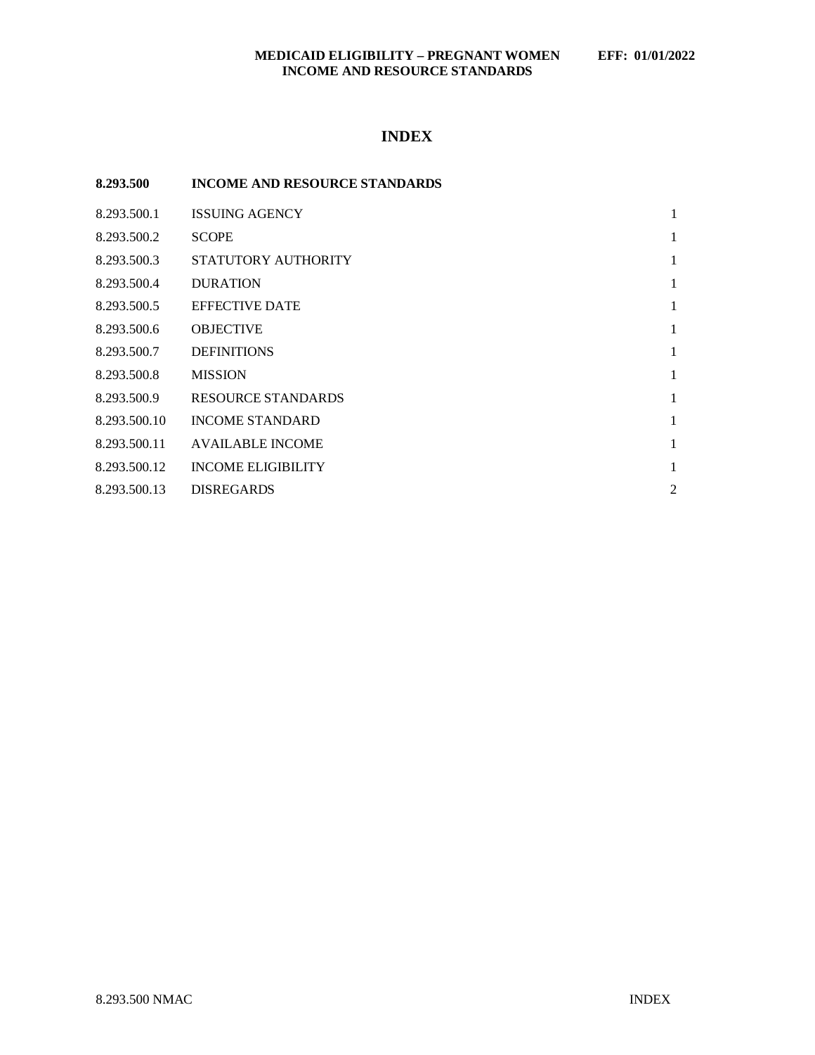## **MEDICAID ELIGIBILITY – PREGNANT WOMEN EFF: 01/01/2022 INCOME AND RESOURCE STANDARDS**

# **INDEX**

| 8.293.500    | <b>INCOME AND RESOURCE STANDARDS</b> |   |
|--------------|--------------------------------------|---|
| 8.293.500.1  | <b>ISSUING AGENCY</b>                | 1 |
| 8.293.500.2  | <b>SCOPE</b>                         | 1 |
| 8.293.500.3  | STATUTORY AUTHORITY                  | 1 |
| 8.293.500.4  | <b>DURATION</b>                      | 1 |
| 8.293.500.5  | <b>EFFECTIVE DATE</b>                | 1 |
| 8.293.500.6  | <b>OBJECTIVE</b>                     | 1 |
| 8.293.500.7  | <b>DEFINITIONS</b>                   | 1 |
| 8.293.500.8  | <b>MISSION</b>                       | 1 |
| 8.293.500.9  | RESOURCE STANDARDS                   | 1 |
| 8.293.500.10 | <b>INCOME STANDARD</b>               | 1 |
| 8.293.500.11 | <b>AVAILABLE INCOME</b>              | 1 |
| 8.293.500.12 | <b>INCOME ELIGIBILITY</b>            | 1 |
| 8.293.500.13 | <b>DISREGARDS</b>                    | 2 |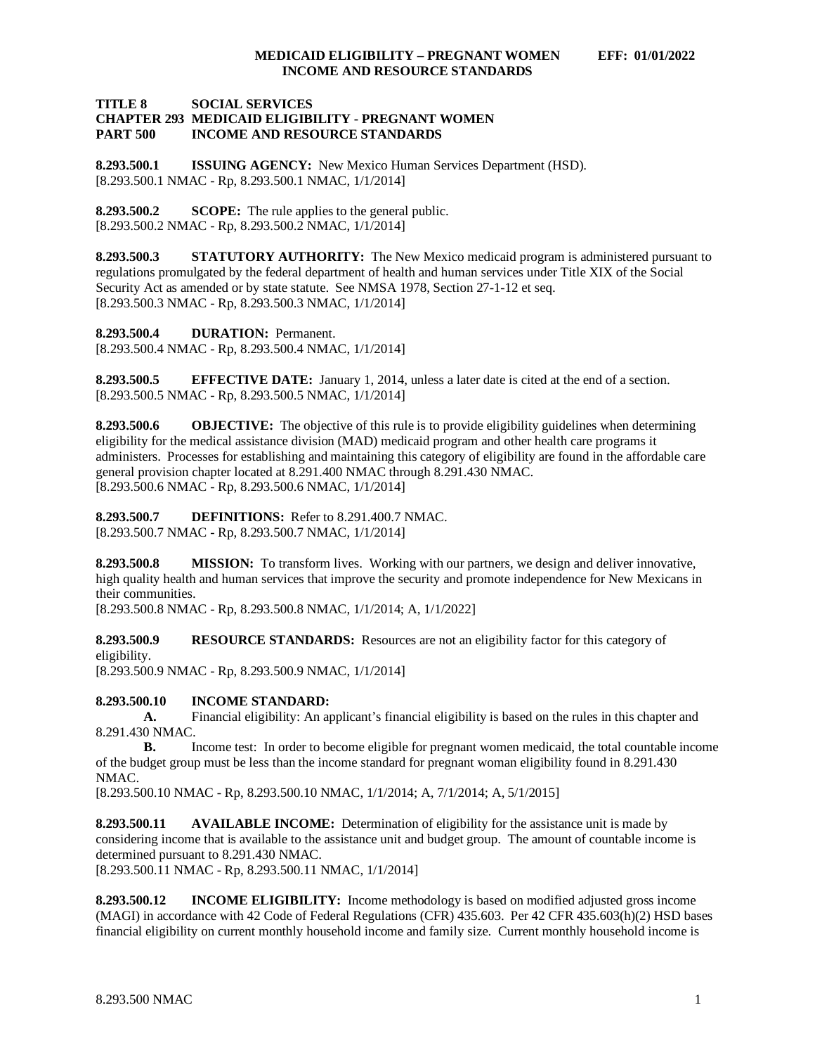#### **TITLE 8 SOCIAL SERVICES CHAPTER 293 MEDICAID ELIGIBILITY - PREGNANT WOMEN INCOME AND RESOURCE STANDARDS**

<span id="page-1-0"></span>**8.293.500.1 ISSUING AGENCY:** New Mexico Human Services Department (HSD). [8.293.500.1 NMAC - Rp, 8.293.500.1 NMAC, 1/1/2014]

<span id="page-1-1"></span>**8.293.500.2 SCOPE:** The rule applies to the general public. [8.293.500.2 NMAC - Rp, 8.293.500.2 NMAC, 1/1/2014]

<span id="page-1-2"></span>**8.293.500.3 STATUTORY AUTHORITY:** The New Mexico medicaid program is administered pursuant to regulations promulgated by the federal department of health and human services under Title XIX of the Social Security Act as amended or by state statute. See NMSA 1978, Section 27-1-12 et seq. [8.293.500.3 NMAC - Rp, 8.293.500.3 NMAC, 1/1/2014]

<span id="page-1-3"></span>**8.293.500.4 DURATION:** Permanent.

[8.293.500.4 NMAC - Rp, 8.293.500.4 NMAC, 1/1/2014]

<span id="page-1-4"></span>**8.293.500.5 EFFECTIVE DATE:** January 1, 2014, unless a later date is cited at the end of a section. [8.293.500.5 NMAC - Rp, 8.293.500.5 NMAC, 1/1/2014]

<span id="page-1-5"></span>**8.293.500.6 OBJECTIVE:** The objective of this rule is to provide eligibility guidelines when determining eligibility for the medical assistance division (MAD) medicaid program and other health care programs it administers. Processes for establishing and maintaining this category of eligibility are found in the affordable care general provision chapter located at 8.291.400 NMAC through 8.291.430 NMAC. [8.293.500.6 NMAC - Rp, 8.293.500.6 NMAC, 1/1/2014]

<span id="page-1-6"></span>**8.293.500.7 DEFINITIONS:** Refer to 8.291.400.7 NMAC. [8.293.500.7 NMAC - Rp, 8.293.500.7 NMAC, 1/1/2014]

<span id="page-1-7"></span>**8.293.500.8 MISSION:** To transform lives. Working with our partners, we design and deliver innovative, high quality health and human services that improve the security and promote independence for New Mexicans in their communities.

[8.293.500.8 NMAC - Rp, 8.293.500.8 NMAC, 1/1/2014; A, 1/1/2022]

<span id="page-1-8"></span>**8.293.500.9 <b>RESOURCE STANDARDS:** Resources are not an eligibility factor for this category of eligibility.

[8.293.500.9 NMAC - Rp, 8.293.500.9 NMAC, 1/1/2014]

<span id="page-1-9"></span>**8.293.500.10 INCOME STANDARD:**

**A.** Financial eligibility: An applicant's financial eligibility is based on the rules in this chapter and 8.291.430 NMAC.

**B.** Income test: In order to become eligible for pregnant women medicaid, the total countable income of the budget group must be less than the income standard for pregnant woman eligibility found in 8.291.430 NMAC.

[8.293.500.10 NMAC - Rp, 8.293.500.10 NMAC, 1/1/2014; A, 7/1/2014; A, 5/1/2015]

<span id="page-1-10"></span>**8.293.500.11 AVAILABLE INCOME:** Determination of eligibility for the assistance unit is made by considering income that is available to the assistance unit and budget group. The amount of countable income is determined pursuant to 8.291.430 NMAC.

[8.293.500.11 NMAC - Rp, 8.293.500.11 NMAC, 1/1/2014]

<span id="page-1-11"></span>**8.293.500.12 INCOME ELIGIBILITY:** Income methodology is based on modified adjusted gross income (MAGI) in accordance with 42 Code of Federal Regulations (CFR) 435.603. Per 42 CFR 435.603(h)(2) HSD bases financial eligibility on current monthly household income and family size. Current monthly household income is